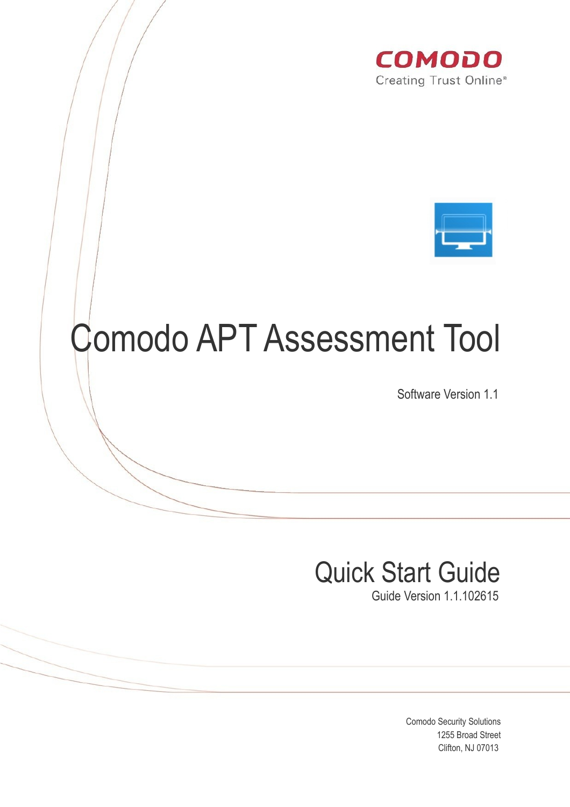



# Comodo APT Assessment Tool

Software Version 1.1

## Quick Start Guide

Guide Version 1.1.102615

Comodo Security Solutions 1255 Broad Street Clifton, NJ 07013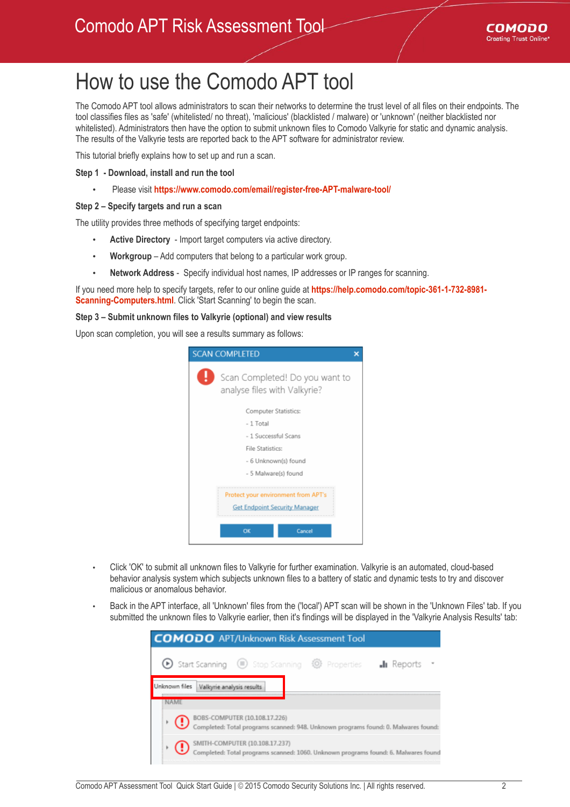

### How to use the Comodo APT tool

The Comodo APT tool allows administrators to scan their networks to determine the trust level of all files on their endpoints. The tool classifies files as 'safe' (whitelisted/ no threat), 'malicious' (blacklisted / malware) or 'unknown' (neither blacklisted nor whitelisted). Administrators then have the option to submit unknown files to Comodo Valkyrie for static and dynamic analysis. The results of the Valkyrie tests are reported back to the APT software for administrator review.

This tutorial briefly explains how to set up and run a scan.

#### **Step 1 - Download, install and run the tool**

• Please visit **<https://www.comodo.com/email/register-free-APT-malware-tool/>**

#### **Step 2 – Specify targets and run a scan**

The utility provides three methods of specifying target endpoints:

- **Active Directory** Import target computers via active directory.
- **Workgroup** Add computers that belong to a particular work group.
- **Network Address** Specify individual host names, IP addresses or IP ranges for scanning.

If you need more help to specify targets, refer to our online guide at **[https://help.comodo.com/topic-361-1-732-8981-](https://help.comodo.com/topic-361-1-732-8981-Scanning-Computers.html) [Scanning-Computers.html](https://help.comodo.com/topic-361-1-732-8981-Scanning-Computers.html)**. Click 'Start Scanning' to begin the scan.

#### **Step 3 – Submit unknown files to Valkyrie (optional) and view results**

Upon scan completion, you will see a results summary as follows:

| <b>SCAN COMPLETED</b>                                                       |                                                                |  |
|-----------------------------------------------------------------------------|----------------------------------------------------------------|--|
|                                                                             | Scan Completed! Do you want to<br>analyse files with Valkyrie? |  |
|                                                                             | Computer Statistics:                                           |  |
|                                                                             | $-1$ Total                                                     |  |
| - 1 Successful Scans                                                        |                                                                |  |
| File Statistics:                                                            |                                                                |  |
|                                                                             | - 6 Unknown(s) found                                           |  |
|                                                                             | - 5 Malware(s) found                                           |  |
| Protect your environment from APT's<br><b>Get Endpoint Security Manager</b> |                                                                |  |
|                                                                             | OK<br>Cancel                                                   |  |

- Click 'OK' to submit all unknown files to Valkyrie for further examination. Valkyrie is an automated, cloud-based behavior analysis system which subjects unknown files to a battery of static and dynamic tests to try and discover malicious or anomalous behavior.
- Back in the APT interface, all 'Unknown' files from the ('local') APT scan will be shown in the 'Unknown Files' tab. If you submitted the unknown files to Valkyrie earlier, then it's findings will be displayed in the 'Valkyrie Analysis Results' tab:

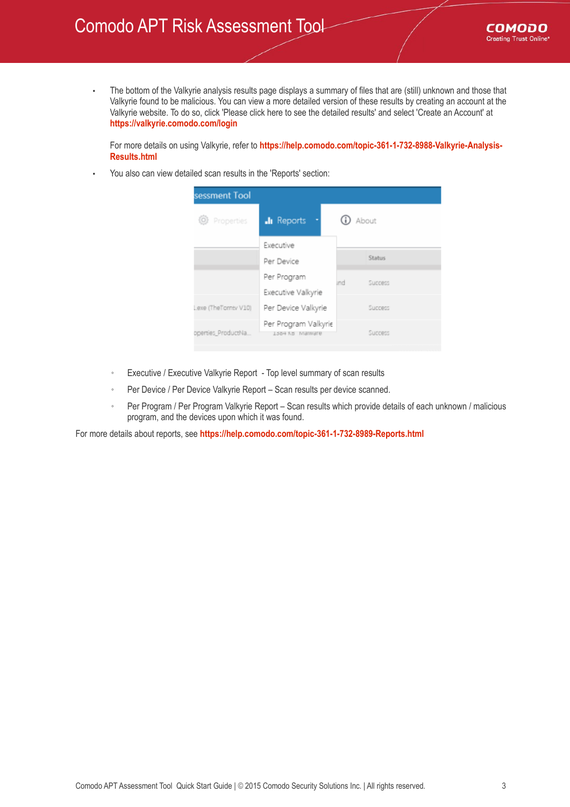### Comodo APT Risk Assessment Tool

• The bottom of the Valkyrie analysis results page displays a summary of files that are (still) unknown and those that Valkyrie found to be malicious. You can view a more detailed version of these results by creating an account at the Valkyrie website. To do so, click 'Please click here to see the detailed results' and select 'Create an Account' at **<https://valkyrie.comodo.com/login>**

For more details on using Valkyrie, refer to **[https://help.comodo.com/topic-361-1-732-8988-Valkyrie-Analysis-](https://help.comodo.com/topic-361-1-732-8988-Valkyrie-Analysis-Results.html)[Results.html](https://help.comodo.com/topic-361-1-732-8988-Valkyrie-Analysis-Results.html)**

• You also can view detailed scan results in the 'Reports' section:



- Executive / Executive Valkyrie Report Top level summary of scan results
- Per Device / Per Device Valkyrie Report Scan results per device scanned.
- Per Program / Per Program Valkyrie Report Scan results which provide details of each unknown / malicious program, and the devices upon which it was found.

For more details about reports, see **<https://help.comodo.com/topic-361-1-732-8989-Reports.html>**